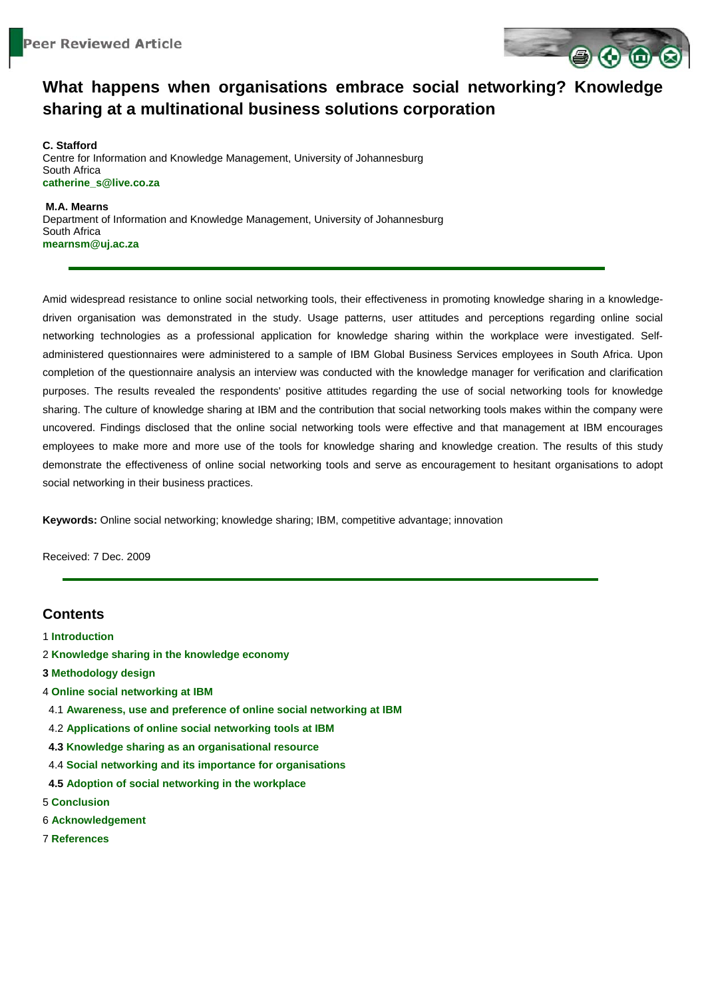

# **What happens when organisations embrace social networking? Knowledge sharing at a multinational business solutions corporation**

**C. Stafford**  Centre for Information and Knowledge Management, University of Johannesburg South Africa **catherine\_s@live.co.za** 

 **M.A. Mearns** Department of Information and Knowledge Management, University of Johannesburg South Africa **mearnsm@uj.ac.za** 

Amid widespread resistance to online social networking tools, their effectiveness in promoting knowledge sharing in a knowledgedriven organisation was demonstrated in the study. Usage patterns, user attitudes and perceptions regarding online social networking technologies as a professional application for knowledge sharing within the workplace were investigated. Selfadministered questionnaires were administered to a sample of IBM Global Business Services employees in South Africa. Upon completion of the questionnaire analysis an interview was conducted with the knowledge manager for verification and clarification purposes. The results revealed the respondents' positive attitudes regarding the use of social networking tools for knowledge sharing. The culture of knowledge sharing at IBM and the contribution that social networking tools makes within the company were uncovered. Findings disclosed that the online social networking tools were effective and that management at IBM encourages employees to make more and more use of the tools for knowledge sharing and knowledge creation. The results of this study demonstrate the effectiveness of online social networking tools and serve as encouragement to hesitant organisations to adopt social networking in their business practices.

**Keywords:** Online social networking; knowledge sharing; IBM, competitive advantage; innovation

Received: 7 Dec. 2009

# **Contents**

1 **Introduction**

- 2 **Knowledge sharing in the knowledge economy**
- **3 Methodology design**
- 4 **Online social networking at IBM**
- 4.1 **Awareness, use and preference of online social networking at IBM**
- 4.2 **Applications of online social networking tools at IBM**
- **4.3 Knowledge sharing as an organisational resource**
- 4.4 **Social networking and its importance for organisations**
- **4.5 Adoption of social networking in the workplace**
- 5 **Conclusion**
- 6 **Acknowledgement**
- 7 **References**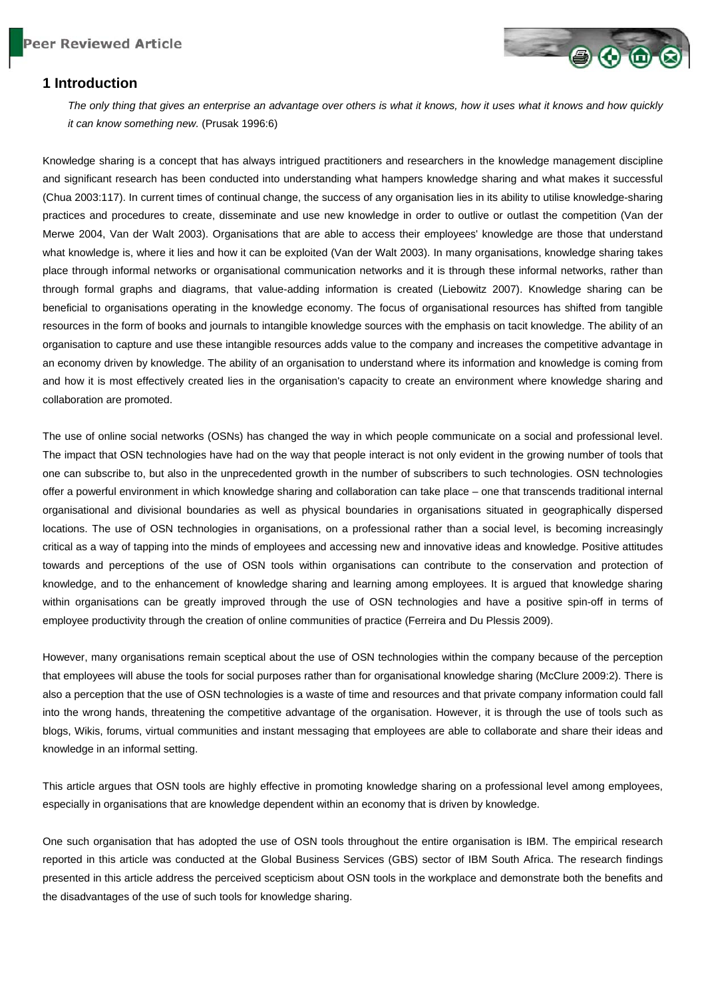

# **1 Introduction**

*The only thing that gives an enterprise an advantage over others is what it knows, how it uses what it knows and how quickly it can know something new.* (Prusak 1996:6)

Knowledge sharing is a concept that has always intrigued practitioners and researchers in the knowledge management discipline and significant research has been conducted into understanding what hampers knowledge sharing and what makes it successful (Chua 2003:117). In current times of continual change, the success of any organisation lies in its ability to utilise knowledge-sharing practices and procedures to create, disseminate and use new knowledge in order to outlive or outlast the competition (Van der Merwe 2004, Van der Walt 2003). Organisations that are able to access their employees' knowledge are those that understand what knowledge is, where it lies and how it can be exploited (Van der Walt 2003). In many organisations, knowledge sharing takes place through informal networks or organisational communication networks and it is through these informal networks, rather than through formal graphs and diagrams, that value-adding information is created (Liebowitz 2007). Knowledge sharing can be beneficial to organisations operating in the knowledge economy. The focus of organisational resources has shifted from tangible resources in the form of books and journals to intangible knowledge sources with the emphasis on tacit knowledge. The ability of an organisation to capture and use these intangible resources adds value to the company and increases the competitive advantage in an economy driven by knowledge. The ability of an organisation to understand where its information and knowledge is coming from and how it is most effectively created lies in the organisation's capacity to create an environment where knowledge sharing and collaboration are promoted.

The use of online social networks (OSNs) has changed the way in which people communicate on a social and professional level. The impact that OSN technologies have had on the way that people interact is not only evident in the growing number of tools that one can subscribe to, but also in the unprecedented growth in the number of subscribers to such technologies. OSN technologies offer a powerful environment in which knowledge sharing and collaboration can take place – one that transcends traditional internal organisational and divisional boundaries as well as physical boundaries in organisations situated in geographically dispersed locations. The use of OSN technologies in organisations, on a professional rather than a social level, is becoming increasingly critical as a way of tapping into the minds of employees and accessing new and innovative ideas and knowledge. Positive attitudes towards and perceptions of the use of OSN tools within organisations can contribute to the conservation and protection of knowledge, and to the enhancement of knowledge sharing and learning among employees. It is argued that knowledge sharing within organisations can be greatly improved through the use of OSN technologies and have a positive spin-off in terms of employee productivity through the creation of online communities of practice (Ferreira and Du Plessis 2009).

However, many organisations remain sceptical about the use of OSN technologies within the company because of the perception that employees will abuse the tools for social purposes rather than for organisational knowledge sharing (McClure 2009:2). There is also a perception that the use of OSN technologies is a waste of time and resources and that private company information could fall into the wrong hands, threatening the competitive advantage of the organisation. However, it is through the use of tools such as blogs, Wikis, forums, virtual communities and instant messaging that employees are able to collaborate and share their ideas and knowledge in an informal setting.

This article argues that OSN tools are highly effective in promoting knowledge sharing on a professional level among employees, especially in organisations that are knowledge dependent within an economy that is driven by knowledge.

One such organisation that has adopted the use of OSN tools throughout the entire organisation is IBM. The empirical research reported in this article was conducted at the Global Business Services (GBS) sector of IBM South Africa. The research findings presented in this article address the perceived scepticism about OSN tools in the workplace and demonstrate both the benefits and the disadvantages of the use of such tools for knowledge sharing.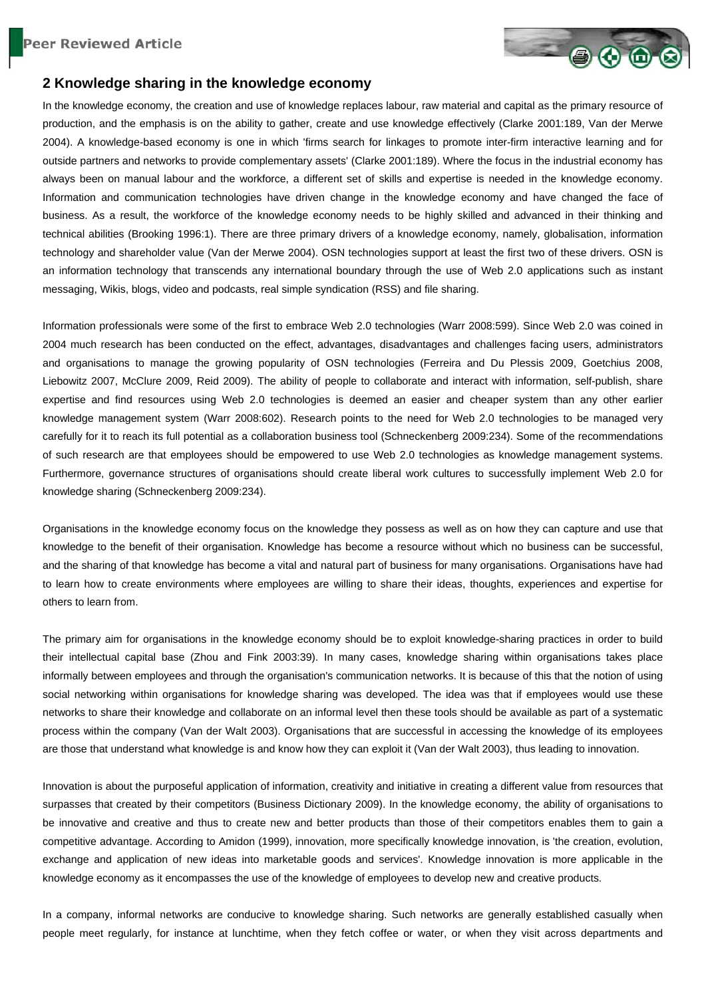

### **2 Knowledge sharing in the knowledge economy**

In the knowledge economy, the creation and use of knowledge replaces labour, raw material and capital as the primary resource of production, and the emphasis is on the ability to gather, create and use knowledge effectively (Clarke 2001:189, Van der Merwe 2004). A knowledge-based economy is one in which 'firms search for linkages to promote inter-firm interactive learning and for outside partners and networks to provide complementary assets' (Clarke 2001:189). Where the focus in the industrial economy has always been on manual labour and the workforce, a different set of skills and expertise is needed in the knowledge economy. Information and communication technologies have driven change in the knowledge economy and have changed the face of business. As a result, the workforce of the knowledge economy needs to be highly skilled and advanced in their thinking and technical abilities (Brooking 1996:1). There are three primary drivers of a knowledge economy, namely, globalisation, information technology and shareholder value (Van der Merwe 2004). OSN technologies support at least the first two of these drivers. OSN is an information technology that transcends any international boundary through the use of Web 2.0 applications such as instant messaging, Wikis, blogs, video and podcasts, real simple syndication (RSS) and file sharing.

Information professionals were some of the first to embrace Web 2.0 technologies (Warr 2008:599). Since Web 2.0 was coined in 2004 much research has been conducted on the effect, advantages, disadvantages and challenges facing users, administrators and organisations to manage the growing popularity of OSN technologies (Ferreira and Du Plessis 2009, Goetchius 2008, Liebowitz 2007, McClure 2009, Reid 2009). The ability of people to collaborate and interact with information, self-publish, share expertise and find resources using Web 2.0 technologies is deemed an easier and cheaper system than any other earlier knowledge management system (Warr 2008:602). Research points to the need for Web 2.0 technologies to be managed very carefully for it to reach its full potential as a collaboration business tool (Schneckenberg 2009:234). Some of the recommendations of such research are that employees should be empowered to use Web 2.0 technologies as knowledge management systems. Furthermore, governance structures of organisations should create liberal work cultures to successfully implement Web 2.0 for knowledge sharing (Schneckenberg 2009:234).

Organisations in the knowledge economy focus on the knowledge they possess as well as on how they can capture and use that knowledge to the benefit of their organisation. Knowledge has become a resource without which no business can be successful, and the sharing of that knowledge has become a vital and natural part of business for many organisations. Organisations have had to learn how to create environments where employees are willing to share their ideas, thoughts, experiences and expertise for others to learn from.

The primary aim for organisations in the knowledge economy should be to exploit knowledge-sharing practices in order to build their intellectual capital base (Zhou and Fink 2003:39). In many cases, knowledge sharing within organisations takes place informally between employees and through the organisation's communication networks. It is because of this that the notion of using social networking within organisations for knowledge sharing was developed. The idea was that if employees would use these networks to share their knowledge and collaborate on an informal level then these tools should be available as part of a systematic process within the company (Van der Walt 2003). Organisations that are successful in accessing the knowledge of its employees are those that understand what knowledge is and know how they can exploit it (Van der Walt 2003), thus leading to innovation.

Innovation is about the purposeful application of information, creativity and initiative in creating a different value from resources that surpasses that created by their competitors (Business Dictionary 2009). In the knowledge economy, the ability of organisations to be innovative and creative and thus to create new and better products than those of their competitors enables them to gain a competitive advantage. According to Amidon (1999), innovation, more specifically knowledge innovation, is 'the creation, evolution, exchange and application of new ideas into marketable goods and services'. Knowledge innovation is more applicable in the knowledge economy as it encompasses the use of the knowledge of employees to develop new and creative products.

In a company, informal networks are conducive to knowledge sharing. Such networks are generally established casually when people meet regularly, for instance at lunchtime, when they fetch coffee or water, or when they visit across departments and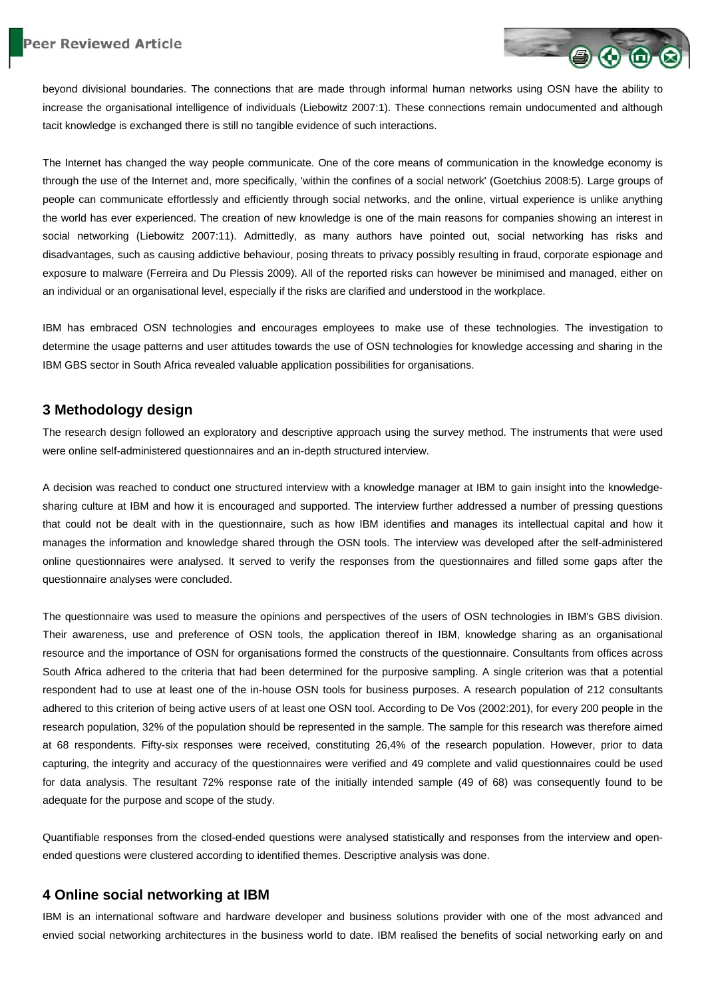

beyond divisional boundaries. The connections that are made through informal human networks using OSN have the ability to increase the organisational intelligence of individuals (Liebowitz 2007:1). These connections remain undocumented and although tacit knowledge is exchanged there is still no tangible evidence of such interactions.

The Internet has changed the way people communicate. One of the core means of communication in the knowledge economy is through the use of the Internet and, more specifically, 'within the confines of a social network' (Goetchius 2008:5). Large groups of people can communicate effortlessly and efficiently through social networks, and the online, virtual experience is unlike anything the world has ever experienced. The creation of new knowledge is one of the main reasons for companies showing an interest in social networking (Liebowitz 2007:11). Admittedly, as many authors have pointed out, social networking has risks and disadvantages, such as causing addictive behaviour, posing threats to privacy possibly resulting in fraud, corporate espionage and exposure to malware (Ferreira and Du Plessis 2009). All of the reported risks can however be minimised and managed, either on an individual or an organisational level, especially if the risks are clarified and understood in the workplace.

IBM has embraced OSN technologies and encourages employees to make use of these technologies. The investigation to determine the usage patterns and user attitudes towards the use of OSN technologies for knowledge accessing and sharing in the IBM GBS sector in South Africa revealed valuable application possibilities for organisations.

### **3 Methodology design**

The research design followed an exploratory and descriptive approach using the survey method. The instruments that were used were online self-administered questionnaires and an in-depth structured interview.

A decision was reached to conduct one structured interview with a knowledge manager at IBM to gain insight into the knowledgesharing culture at IBM and how it is encouraged and supported. The interview further addressed a number of pressing questions that could not be dealt with in the questionnaire, such as how IBM identifies and manages its intellectual capital and how it manages the information and knowledge shared through the OSN tools. The interview was developed after the self-administered online questionnaires were analysed. It served to verify the responses from the questionnaires and filled some gaps after the questionnaire analyses were concluded.

The questionnaire was used to measure the opinions and perspectives of the users of OSN technologies in IBM's GBS division. Their awareness, use and preference of OSN tools, the application thereof in IBM, knowledge sharing as an organisational resource and the importance of OSN for organisations formed the constructs of the questionnaire. Consultants from offices across South Africa adhered to the criteria that had been determined for the purposive sampling. A single criterion was that a potential respondent had to use at least one of the in-house OSN tools for business purposes. A research population of 212 consultants adhered to this criterion of being active users of at least one OSN tool. According to De Vos (2002:201), for every 200 people in the research population, 32% of the population should be represented in the sample. The sample for this research was therefore aimed at 68 respondents. Fifty-six responses were received, constituting 26,4% of the research population. However, prior to data capturing, the integrity and accuracy of the questionnaires were verified and 49 complete and valid questionnaires could be used for data analysis. The resultant 72% response rate of the initially intended sample (49 of 68) was consequently found to be adequate for the purpose and scope of the study.

Quantifiable responses from the closed-ended questions were analysed statistically and responses from the interview and openended questions were clustered according to identified themes. Descriptive analysis was done.

### **4 Online social networking at IBM**

IBM is an international software and hardware developer and business solutions provider with one of the most advanced and envied social networking architectures in the business world to date. IBM realised the benefits of social networking early on and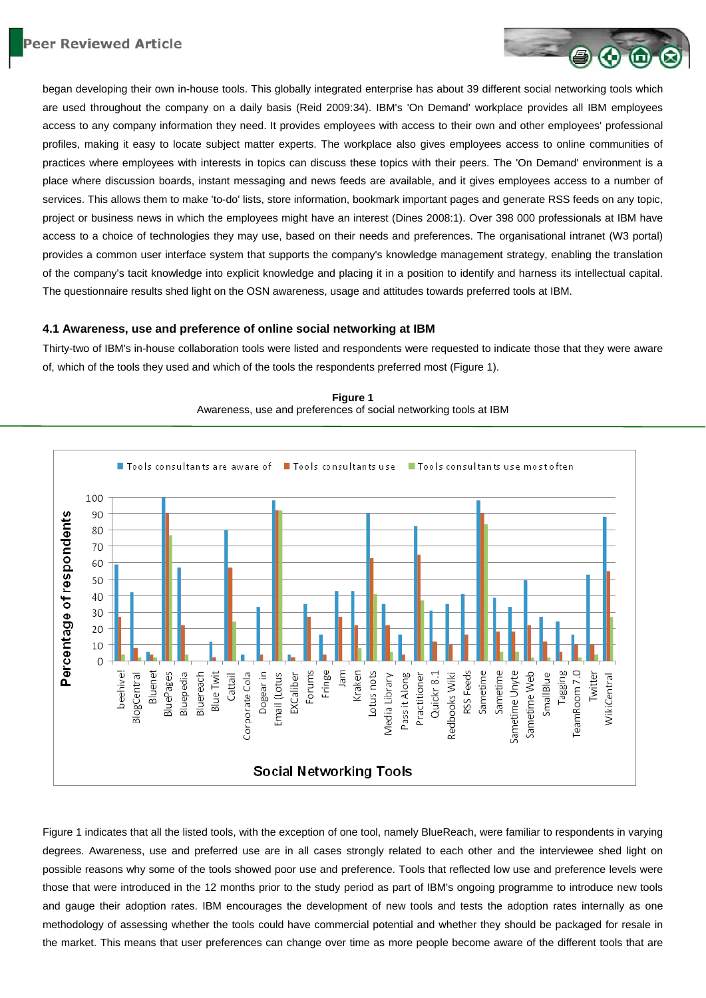began developing their own in-house tools. This globally integrated enterprise has about 39 different social networking tools which are used throughout the company on a daily basis (Reid 2009:34). IBM's 'On Demand' workplace provides all IBM employees access to any company information they need. It provides employees with access to their own and other employees' professional profiles, making it easy to locate subject matter experts. The workplace also gives employees access to online communities of practices where employees with interests in topics can discuss these topics with their peers. The 'On Demand' environment is a place where discussion boards, instant messaging and news feeds are available, and it gives employees access to a number of services. This allows them to make 'to-do' lists, store information, bookmark important pages and generate RSS feeds on any topic, project or business news in which the employees might have an interest (Dines 2008:1). Over 398 000 professionals at IBM have access to a choice of technologies they may use, based on their needs and preferences. The organisational intranet (W3 portal) provides a common user interface system that supports the company's knowledge management strategy, enabling the translation of the company's tacit knowledge into explicit knowledge and placing it in a position to identify and harness its intellectual capital. The questionnaire results shed light on the OSN awareness, usage and attitudes towards preferred tools at IBM.

⊙

#### **4.1 Awareness, use and preference of online social networking at IBM**

Thirty-two of IBM's in-house collaboration tools were listed and respondents were requested to indicate those that they were aware of, which of the tools they used and which of the tools the respondents preferred most (Figure 1).



**Figure 1** Awareness, use and preferences of social networking tools at IBM

Figure 1 indicates that all the listed tools, with the exception of one tool, namely BlueReach, were familiar to respondents in varying degrees. Awareness, use and preferred use are in all cases strongly related to each other and the interviewee shed light on possible reasons why some of the tools showed poor use and preference. Tools that reflected low use and preference levels were those that were introduced in the 12 months prior to the study period as part of IBM's ongoing programme to introduce new tools and gauge their adoption rates. IBM encourages the development of new tools and tests the adoption rates internally as one methodology of assessing whether the tools could have commercial potential and whether they should be packaged for resale in the market. This means that user preferences can change over time as more people become aware of the different tools that are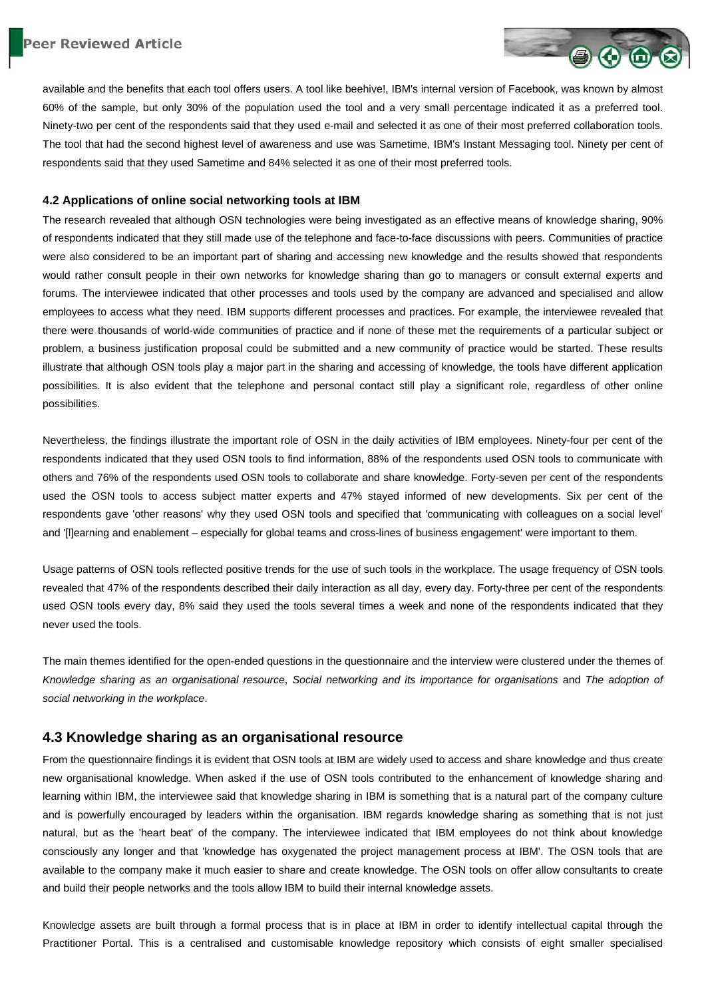available and the benefits that each tool offers users. A tool like beehive!, IBM's internal version of Facebook, was known by almost 60% of the sample, but only 30% of the population used the tool and a very small percentage indicated it as a preferred tool. Ninety-two per cent of the respondents said that they used e-mail and selected it as one of their most preferred collaboration tools. The tool that had the second highest level of awareness and use was Sametime, IBM's Instant Messaging tool. Ninety per cent of respondents said that they used Sametime and 84% selected it as one of their most preferred tools.

 $\bullet$ 

#### **4.2 Applications of online social networking tools at IBM**

The research revealed that although OSN technologies were being investigated as an effective means of knowledge sharing, 90% of respondents indicated that they still made use of the telephone and face-to-face discussions with peers. Communities of practice were also considered to be an important part of sharing and accessing new knowledge and the results showed that respondents would rather consult people in their own networks for knowledge sharing than go to managers or consult external experts and forums. The interviewee indicated that other processes and tools used by the company are advanced and specialised and allow employees to access what they need. IBM supports different processes and practices. For example, the interviewee revealed that there were thousands of world-wide communities of practice and if none of these met the requirements of a particular subject or problem, a business justification proposal could be submitted and a new community of practice would be started. These results illustrate that although OSN tools play a major part in the sharing and accessing of knowledge, the tools have different application possibilities. It is also evident that the telephone and personal contact still play a significant role, regardless of other online possibilities.

Nevertheless, the findings illustrate the important role of OSN in the daily activities of IBM employees. Ninety-four per cent of the respondents indicated that they used OSN tools to find information, 88% of the respondents used OSN tools to communicate with others and 76% of the respondents used OSN tools to collaborate and share knowledge. Forty-seven per cent of the respondents used the OSN tools to access subject matter experts and 47% stayed informed of new developments. Six per cent of the respondents gave 'other reasons' why they used OSN tools and specified that 'communicating with colleagues on a social level' and '[l]earning and enablement – especially for global teams and cross-lines of business engagement' were important to them.

Usage patterns of OSN tools reflected positive trends for the use of such tools in the workplace. The usage frequency of OSN tools revealed that 47% of the respondents described their daily interaction as all day, every day. Forty-three per cent of the respondents used OSN tools every day, 8% said they used the tools several times a week and none of the respondents indicated that they never used the tools.

The main themes identified for the open-ended questions in the questionnaire and the interview were clustered under the themes of *Knowledge sharing as an organisational resource*, *Social networking and its importance for organisations* and *The adoption of social networking in the workplace*.

#### **4.3 Knowledge sharing as an organisational resource**

From the questionnaire findings it is evident that OSN tools at IBM are widely used to access and share knowledge and thus create new organisational knowledge. When asked if the use of OSN tools contributed to the enhancement of knowledge sharing and learning within IBM, the interviewee said that knowledge sharing in IBM is something that is a natural part of the company culture and is powerfully encouraged by leaders within the organisation. IBM regards knowledge sharing as something that is not just natural, but as the 'heart beat' of the company. The interviewee indicated that IBM employees do not think about knowledge consciously any longer and that 'knowledge has oxygenated the project management process at IBM'. The OSN tools that are available to the company make it much easier to share and create knowledge. The OSN tools on offer allow consultants to create and build their people networks and the tools allow IBM to build their internal knowledge assets.

Knowledge assets are built through a formal process that is in place at IBM in order to identify intellectual capital through the Practitioner Portal. This is a centralised and customisable knowledge repository which consists of eight smaller specialised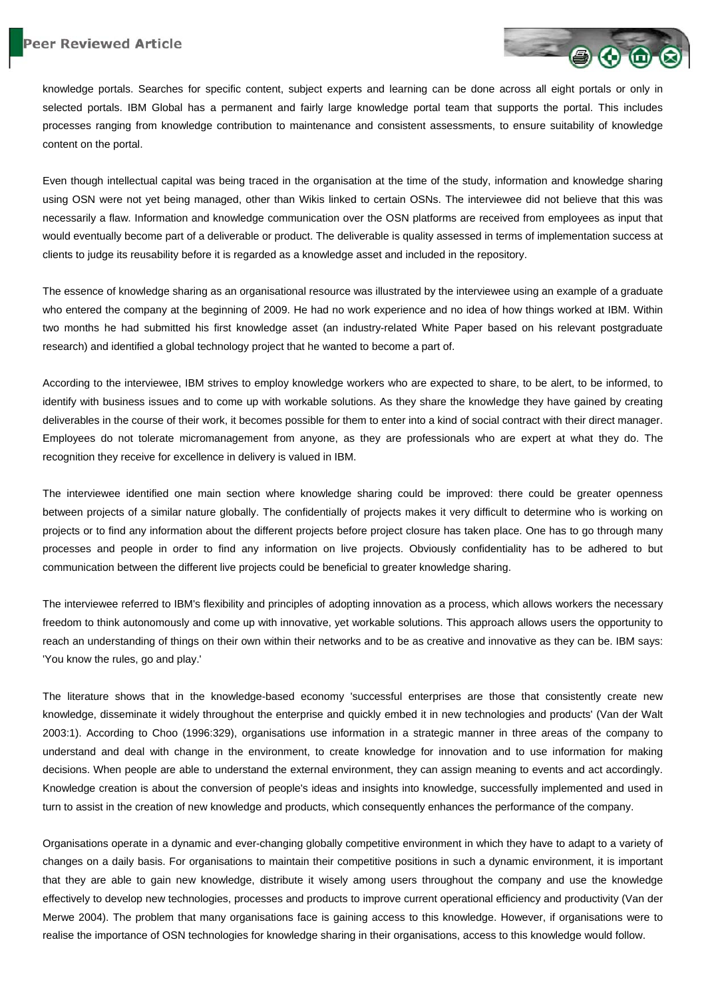

knowledge portals. Searches for specific content, subject experts and learning can be done across all eight portals or only in selected portals. IBM Global has a permanent and fairly large knowledge portal team that supports the portal. This includes processes ranging from knowledge contribution to maintenance and consistent assessments, to ensure suitability of knowledge content on the portal.

Even though intellectual capital was being traced in the organisation at the time of the study, information and knowledge sharing using OSN were not yet being managed, other than Wikis linked to certain OSNs. The interviewee did not believe that this was necessarily a flaw. Information and knowledge communication over the OSN platforms are received from employees as input that would eventually become part of a deliverable or product. The deliverable is quality assessed in terms of implementation success at clients to judge its reusability before it is regarded as a knowledge asset and included in the repository.

The essence of knowledge sharing as an organisational resource was illustrated by the interviewee using an example of a graduate who entered the company at the beginning of 2009. He had no work experience and no idea of how things worked at IBM. Within two months he had submitted his first knowledge asset (an industry-related White Paper based on his relevant postgraduate research) and identified a global technology project that he wanted to become a part of.

According to the interviewee, IBM strives to employ knowledge workers who are expected to share, to be alert, to be informed, to identify with business issues and to come up with workable solutions. As they share the knowledge they have gained by creating deliverables in the course of their work, it becomes possible for them to enter into a kind of social contract with their direct manager. Employees do not tolerate micromanagement from anyone, as they are professionals who are expert at what they do. The recognition they receive for excellence in delivery is valued in IBM.

The interviewee identified one main section where knowledge sharing could be improved: there could be greater openness between projects of a similar nature globally. The confidentially of projects makes it very difficult to determine who is working on projects or to find any information about the different projects before project closure has taken place. One has to go through many processes and people in order to find any information on live projects. Obviously confidentiality has to be adhered to but communication between the different live projects could be beneficial to greater knowledge sharing.

The interviewee referred to IBM's flexibility and principles of adopting innovation as a process, which allows workers the necessary freedom to think autonomously and come up with innovative, yet workable solutions. This approach allows users the opportunity to reach an understanding of things on their own within their networks and to be as creative and innovative as they can be. IBM says: 'You know the rules, go and play.'

The literature shows that in the knowledge-based economy 'successful enterprises are those that consistently create new knowledge, disseminate it widely throughout the enterprise and quickly embed it in new technologies and products' (Van der Walt 2003:1). According to Choo (1996:329), organisations use information in a strategic manner in three areas of the company to understand and deal with change in the environment, to create knowledge for innovation and to use information for making decisions. When people are able to understand the external environment, they can assign meaning to events and act accordingly. Knowledge creation is about the conversion of people's ideas and insights into knowledge, successfully implemented and used in turn to assist in the creation of new knowledge and products, which consequently enhances the performance of the company.

Organisations operate in a dynamic and ever-changing globally competitive environment in which they have to adapt to a variety of changes on a daily basis. For organisations to maintain their competitive positions in such a dynamic environment, it is important that they are able to gain new knowledge, distribute it wisely among users throughout the company and use the knowledge effectively to develop new technologies, processes and products to improve current operational efficiency and productivity (Van der Merwe 2004). The problem that many organisations face is gaining access to this knowledge. However, if organisations were to realise the importance of OSN technologies for knowledge sharing in their organisations, access to this knowledge would follow.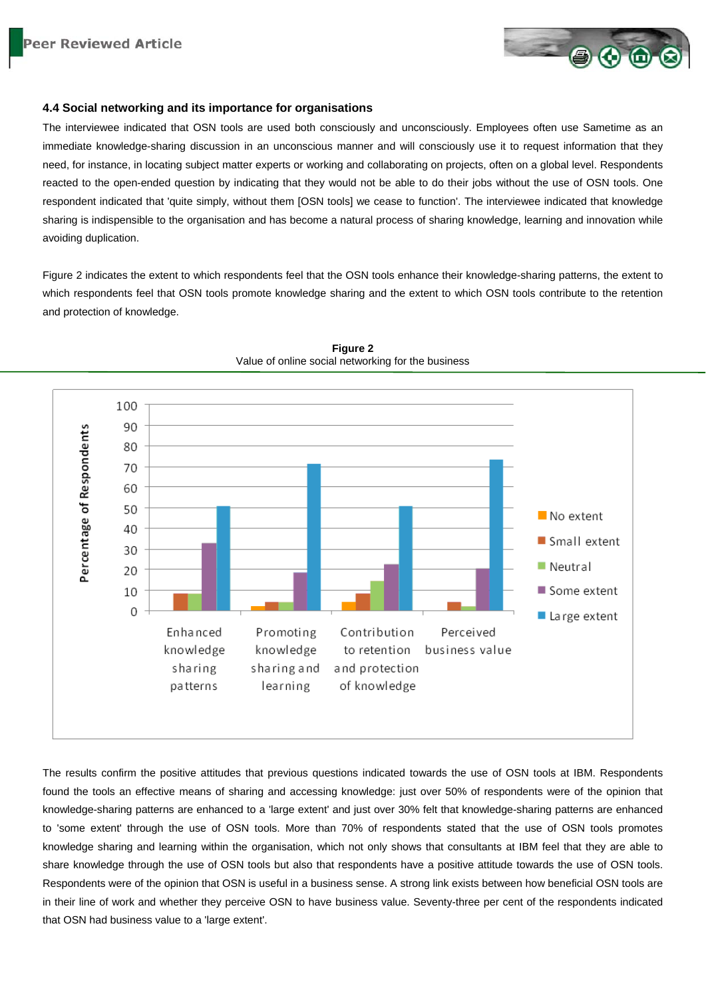

#### **4.4 Social networking and its importance for organisations**

The interviewee indicated that OSN tools are used both consciously and unconsciously. Employees often use Sametime as an immediate knowledge-sharing discussion in an unconscious manner and will consciously use it to request information that they need, for instance, in locating subject matter experts or working and collaborating on projects, often on a global level. Respondents reacted to the open-ended question by indicating that they would not be able to do their jobs without the use of OSN tools. One respondent indicated that 'quite simply, without them [OSN tools] we cease to function'. The interviewee indicated that knowledge sharing is indispensible to the organisation and has become a natural process of sharing knowledge, learning and innovation while avoiding duplication.

Figure 2 indicates the extent to which respondents feel that the OSN tools enhance their knowledge-sharing patterns, the extent to which respondents feel that OSN tools promote knowledge sharing and the extent to which OSN tools contribute to the retention and protection of knowledge.



**Figure 2**  Value of online social networking for the business

The results confirm the positive attitudes that previous questions indicated towards the use of OSN tools at IBM. Respondents found the tools an effective means of sharing and accessing knowledge: just over 50% of respondents were of the opinion that knowledge-sharing patterns are enhanced to a 'large extent' and just over 30% felt that knowledge-sharing patterns are enhanced to 'some extent' through the use of OSN tools. More than 70% of respondents stated that the use of OSN tools promotes knowledge sharing and learning within the organisation, which not only shows that consultants at IBM feel that they are able to share knowledge through the use of OSN tools but also that respondents have a positive attitude towards the use of OSN tools. Respondents were of the opinion that OSN is useful in a business sense. A strong link exists between how beneficial OSN tools are in their line of work and whether they perceive OSN to have business value. Seventy-three per cent of the respondents indicated that OSN had business value to a 'large extent'.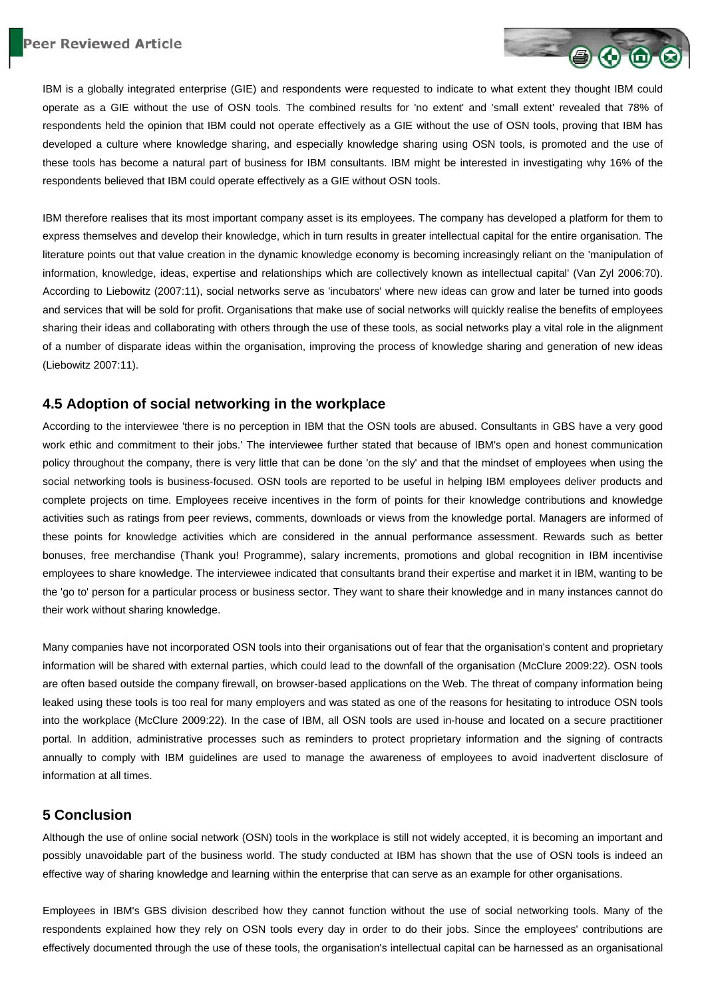

IBM is a globally integrated enterprise (GIE) and respondents were requested to indicate to what extent they thought IBM could operate as a GIE without the use of OSN tools. The combined results for 'no extent' and 'small extent' revealed that 78% of respondents held the opinion that IBM could not operate effectively as a GIE without the use of OSN tools, proving that IBM has developed a culture where knowledge sharing, and especially knowledge sharing using OSN tools, is promoted and the use of these tools has become a natural part of business for IBM consultants. IBM might be interested in investigating why 16% of the respondents believed that IBM could operate effectively as a GIE without OSN tools.

IBM therefore realises that its most important company asset is its employees. The company has developed a platform for them to express themselves and develop their knowledge, which in turn results in greater intellectual capital for the entire organisation. The literature points out that value creation in the dynamic knowledge economy is becoming increasingly reliant on the 'manipulation of information, knowledge, ideas, expertise and relationships which are collectively known as intellectual capital' (Van Zyl 2006:70). According to Liebowitz (2007:11), social networks serve as 'incubators' where new ideas can grow and later be turned into goods and services that will be sold for profit. Organisations that make use of social networks will quickly realise the benefits of employees sharing their ideas and collaborating with others through the use of these tools, as social networks play a vital role in the alignment of a number of disparate ideas within the organisation, improving the process of knowledge sharing and generation of new ideas (Liebowitz 2007:11).

## **4.5 Adoption of social networking in the workplace**

According to the interviewee 'there is no perception in IBM that the OSN tools are abused. Consultants in GBS have a very good work ethic and commitment to their jobs.' The interviewee further stated that because of IBM's open and honest communication policy throughout the company, there is very little that can be done 'on the sly' and that the mindset of employees when using the social networking tools is business-focused. OSN tools are reported to be useful in helping IBM employees deliver products and complete projects on time. Employees receive incentives in the form of points for their knowledge contributions and knowledge activities such as ratings from peer reviews, comments, downloads or views from the knowledge portal. Managers are informed of these points for knowledge activities which are considered in the annual performance assessment. Rewards such as better bonuses, free merchandise (Thank you! Programme), salary increments, promotions and global recognition in IBM incentivise employees to share knowledge. The interviewee indicated that consultants brand their expertise and market it in IBM, wanting to be the 'go to' person for a particular process or business sector. They want to share their knowledge and in many instances cannot do their work without sharing knowledge.

Many companies have not incorporated OSN tools into their organisations out of fear that the organisation's content and proprietary information will be shared with external parties, which could lead to the downfall of the organisation (McClure 2009:22). OSN tools are often based outside the company firewall, on browser-based applications on the Web. The threat of company information being leaked using these tools is too real for many employers and was stated as one of the reasons for hesitating to introduce OSN tools into the workplace (McClure 2009:22). In the case of IBM, all OSN tools are used in-house and located on a secure practitioner portal. In addition, administrative processes such as reminders to protect proprietary information and the signing of contracts annually to comply with IBM guidelines are used to manage the awareness of employees to avoid inadvertent disclosure of information at all times.

## **5 Conclusion**

Although the use of online social network (OSN) tools in the workplace is still not widely accepted, it is becoming an important and possibly unavoidable part of the business world. The study conducted at IBM has shown that the use of OSN tools is indeed an effective way of sharing knowledge and learning within the enterprise that can serve as an example for other organisations.

Employees in IBM's GBS division described how they cannot function without the use of social networking tools. Many of the respondents explained how they rely on OSN tools every day in order to do their jobs. Since the employees' contributions are effectively documented through the use of these tools, the organisation's intellectual capital can be harnessed as an organisational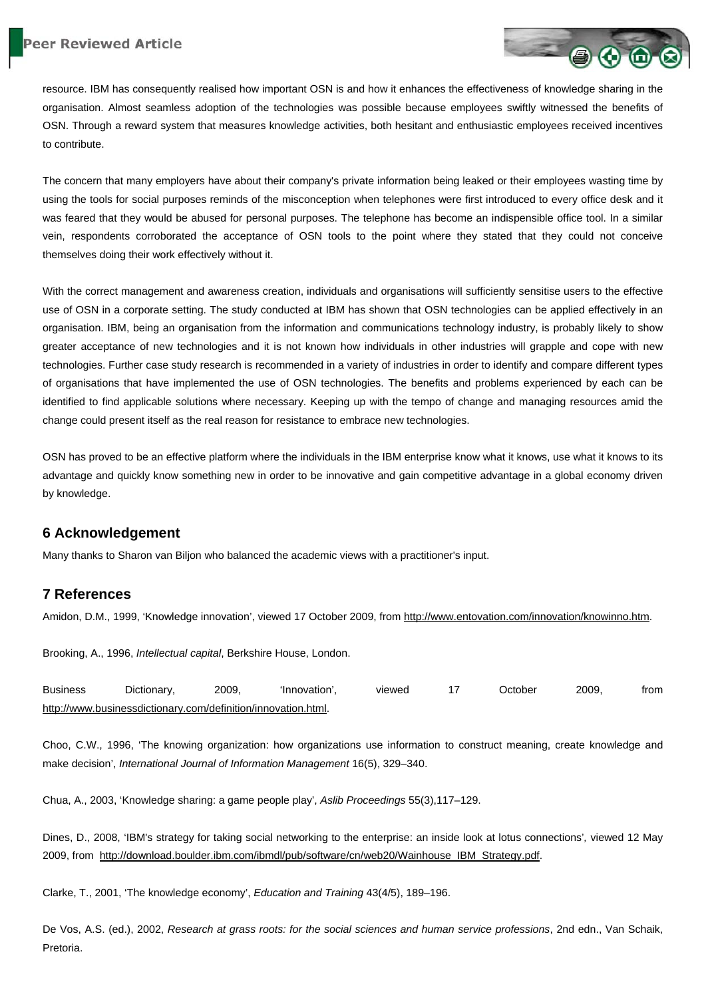

resource. IBM has consequently realised how important OSN is and how it enhances the effectiveness of knowledge sharing in the organisation. Almost seamless adoption of the technologies was possible because employees swiftly witnessed the benefits of OSN. Through a reward system that measures knowledge activities, both hesitant and enthusiastic employees received incentives to contribute.

The concern that many employers have about their company's private information being leaked or their employees wasting time by using the tools for social purposes reminds of the misconception when telephones were first introduced to every office desk and it was feared that they would be abused for personal purposes. The telephone has become an indispensible office tool. In a similar vein, respondents corroborated the acceptance of OSN tools to the point where they stated that they could not conceive themselves doing their work effectively without it.

With the correct management and awareness creation, individuals and organisations will sufficiently sensitise users to the effective use of OSN in a corporate setting. The study conducted at IBM has shown that OSN technologies can be applied effectively in an organisation. IBM, being an organisation from the information and communications technology industry, is probably likely to show greater acceptance of new technologies and it is not known how individuals in other industries will grapple and cope with new technologies. Further case study research is recommended in a variety of industries in order to identify and compare different types of organisations that have implemented the use of OSN technologies. The benefits and problems experienced by each can be identified to find applicable solutions where necessary. Keeping up with the tempo of change and managing resources amid the change could present itself as the real reason for resistance to embrace new technologies.

OSN has proved to be an effective platform where the individuals in the IBM enterprise know what it knows, use what it knows to its advantage and quickly know something new in order to be innovative and gain competitive advantage in a global economy driven by knowledge.

# **6 Acknowledgement**

Many thanks to Sharon van Biljon who balanced the academic views with a practitioner's input.

# **7 References**

Amidon, D.M., 1999, 'Knowledge innovation', viewed 17 October 2009, from http://www.entovation.com/innovation/knowinno.htm.

Brooking, A., 1996, *Intellectual capital*, Berkshire House, London.

| <b>Business</b>                                               | Dictionary, | 2009. | 'Innovation'. | viewed |  | October | 2009. | from |
|---------------------------------------------------------------|-------------|-------|---------------|--------|--|---------|-------|------|
| http://www.businessdictionary.com/definition/innovation.html. |             |       |               |        |  |         |       |      |

Choo, C.W., 1996, 'The knowing organization: how organizations use information to construct meaning, create knowledge and make decision', *International Journal of Information Management* 16(5), 329–340.

Chua, A., 2003, 'Knowledge sharing: a game people play', *Aslib Proceedings* 55(3),117–129.

Dines, D., 2008, 'IBM's strategy for taking social networking to the enterprise: an inside look at lotus connections'*,* viewed 12 May 2009, from http://download.boulder.ibm.com/ibmdl/pub/software/cn/web20/Wainhouse\_IBM\_Strategy.pdf.

Clarke, T., 2001, 'The knowledge economy', *Education and Training* 43(4/5), 189–196.

De Vos, A.S. (ed.), 2002, *Research at grass roots: for the social sciences and human service professions*, 2nd edn., Van Schaik, Pretoria.